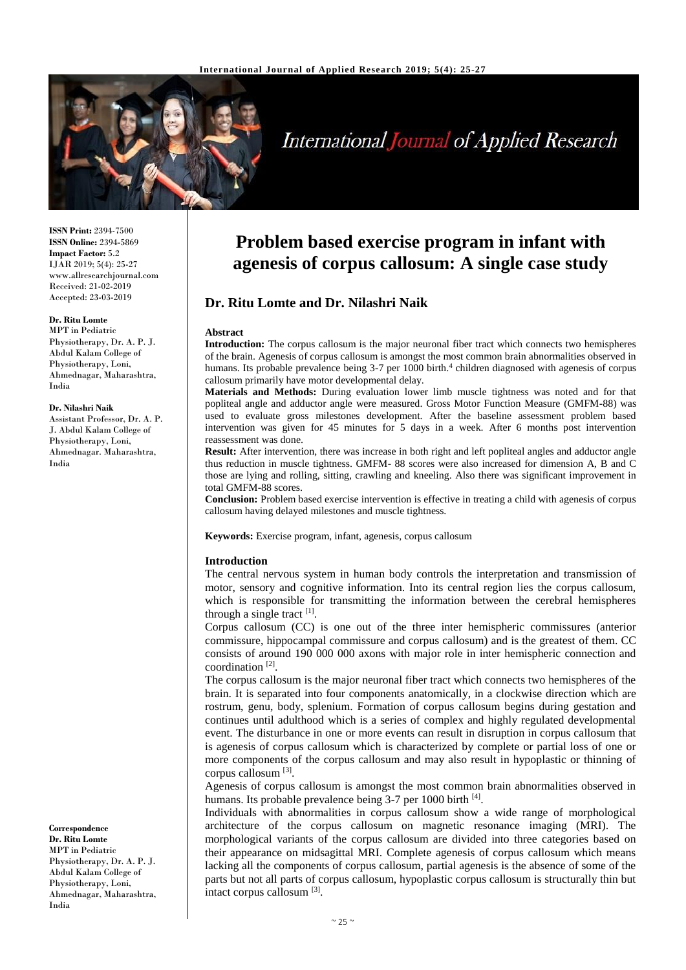

# International Journal of Applied Research

**ISSN Print:** 2394-7500 **ISSN Online:** 2394-5869 **Impact Factor:** 5.2 IJAR 2019; 5(4): 25-27 www.allresearchjournal.com Received: 21-02-2019 Accepted: 23-03-2019

#### **Dr. Ritu Lomte**

MPT in Pediatric Physiotherapy, Dr. A. P. J. Abdul Kalam College of Physiotherapy, Loni, Ahmednagar, Maharashtra, India

#### **Dr. Nilashri Naik**

Assistant Professor, Dr. A. P. J. Abdul Kalam College of Physiotherapy, Loni, Ahmednagar. Maharashtra, India

#### **Correspondence Dr. Ritu Lomte**

MPT in Pediatric Physiotherapy, Dr. A. P. J. Abdul Kalam College of Physiotherapy, Loni, Ahmednagar, Maharashtra, India

# **Problem based exercise program in infant with agenesis of corpus callosum: A single case study**

# **Dr. Ritu Lomte and Dr. Nilashri Naik**

#### **Abstract**

**Introduction:** The corpus callosum is the major neuronal fiber tract which connects two hemispheres of the brain. Agenesis of corpus callosum is amongst the most common brain abnormalities observed in humans. Its probable prevalence being 3-7 per 1000 birth.<sup>4</sup> children diagnosed with agenesis of corpus callosum primarily have motor developmental delay.

**Materials and Methods:** During evaluation lower limb muscle tightness was noted and for that popliteal angle and adductor angle were measured. Gross Motor Function Measure (GMFM-88) was used to evaluate gross milestones development. After the baseline assessment problem based intervention was given for 45 minutes for 5 days in a week. After 6 months post intervention reassessment was done.

**Result:** After intervention, there was increase in both right and left popliteal angles and adductor angle thus reduction in muscle tightness. GMFM- 88 scores were also increased for dimension A, B and C those are lying and rolling, sitting, crawling and kneeling. Also there was significant improvement in total GMFM-88 scores.

**Conclusion:** Problem based exercise intervention is effective in treating a child with agenesis of corpus callosum having delayed milestones and muscle tightness.

**Keywords:** Exercise program, infant, agenesis, corpus callosum

#### **Introduction**

The central nervous system in human body controls the interpretation and transmission of motor, sensory and cognitive information. Into its central region lies the corpus callosum, which is responsible for transmitting the information between the cerebral hemispheres through a single tract  $[1]$ .

Corpus callosum (CC) is one out of the three inter hemispheric commissures (anterior commissure, hippocampal commissure and corpus callosum) and is the greatest of them. CC consists of around 190 000 000 axons with major role in inter hemispheric connection and coordination<sup>[2]</sup>.

The corpus callosum is the major neuronal fiber tract which connects two hemispheres of the brain. It is separated into four components anatomically, in a clockwise direction which are rostrum, genu, body, splenium. Formation of corpus callosum begins during gestation and continues until adulthood which is a series of complex and highly regulated developmental event. The disturbance in one or more events can result in disruption in corpus callosum that is agenesis of corpus callosum which is characterized by complete or partial loss of one or more components of the corpus callosum and may also result in hypoplastic or thinning of corpus callosum [3].

Agenesis of corpus callosum is amongst the most common brain abnormalities observed in humans. Its probable prevalence being 3-7 per 1000 birth [4].

Individuals with abnormalities in corpus callosum show a wide range of morphological architecture of the corpus callosum on magnetic resonance imaging (MRI). The morphological variants of the corpus callosum are divided into three categories based on their appearance on midsagittal MRI. Complete agenesis of corpus callosum which means lacking all the components of corpus callosum, partial agenesis is the absence of some of the parts but not all parts of corpus callosum, hypoplastic corpus callosum is structurally thin but intact corpus callosum [3].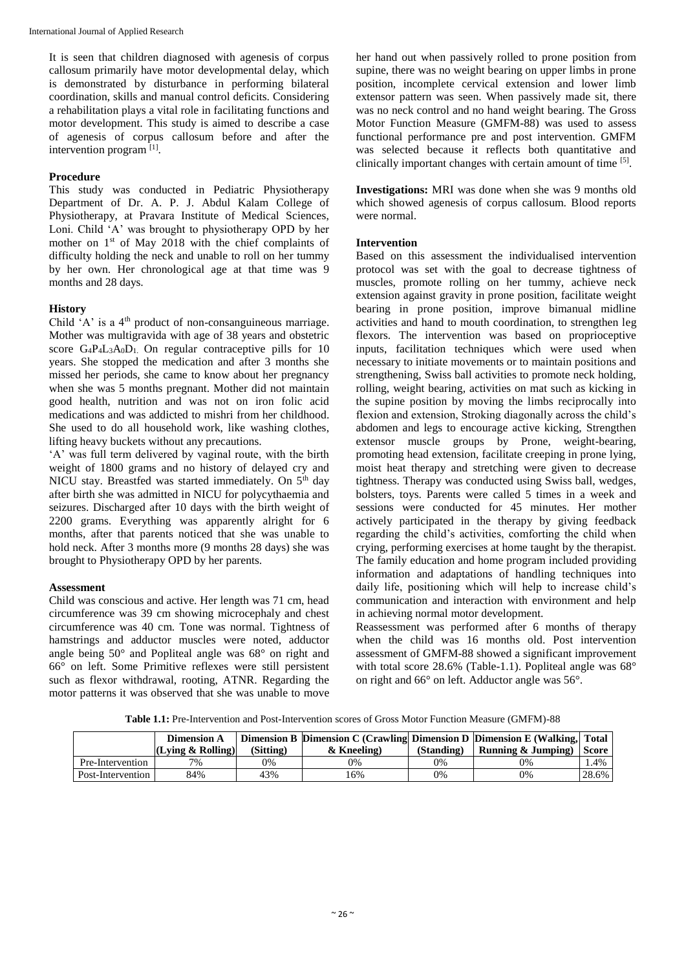International Journal of Applied Research

It is seen that children diagnosed with agenesis of corpus callosum primarily have motor developmental delay, which is demonstrated by disturbance in performing bilateral coordination, skills and manual control deficits. Considering a rehabilitation plays a vital role in facilitating functions and motor development. This study is aimed to describe a case of agenesis of corpus callosum before and after the intervention program<sup>[1]</sup>.

# **Procedure**

This study was conducted in Pediatric Physiotherapy Department of Dr. A. P. J. Abdul Kalam College of Physiotherapy, at Pravara Institute of Medical Sciences, Loni. Child 'A' was brought to physiotherapy OPD by her mother on  $1<sup>st</sup>$  of May 2018 with the chief complaints of difficulty holding the neck and unable to roll on her tummy by her own. Her chronological age at that time was 9 months and 28 days.

# **History**

Child 'A' is a 4<sup>th</sup> product of non-consanguineous marriage. Mother was multigravida with age of 38 years and obstetric score  $G_4P_4L_3A_0D_1$  On regular contraceptive pills for 10 years. She stopped the medication and after 3 months she missed her periods, she came to know about her pregnancy when she was 5 months pregnant. Mother did not maintain good health, nutrition and was not on iron folic acid medications and was addicted to mishri from her childhood. She used to do all household work, like washing clothes, lifting heavy buckets without any precautions.

'A' was full term delivered by vaginal route, with the birth weight of 1800 grams and no history of delayed cry and NICU stay. Breastfed was started immediately. On 5<sup>th</sup> day after birth she was admitted in NICU for polycythaemia and seizures. Discharged after 10 days with the birth weight of 2200 grams. Everything was apparently alright for 6 months, after that parents noticed that she was unable to hold neck. After 3 months more (9 months 28 days) she was brought to Physiotherapy OPD by her parents.

#### **Assessment**

Child was conscious and active. Her length was 71 cm, head circumference was 39 cm showing microcephaly and chest circumference was 40 cm. Tone was normal. Tightness of hamstrings and adductor muscles were noted, adductor angle being 50° and Popliteal angle was 68° on right and 66° on left. Some Primitive reflexes were still persistent such as flexor withdrawal, rooting, ATNR. Regarding the motor patterns it was observed that she was unable to move

her hand out when passively rolled to prone position from supine, there was no weight bearing on upper limbs in prone position, incomplete cervical extension and lower limb extensor pattern was seen. When passively made sit, there was no neck control and no hand weight bearing. The Gross Motor Function Measure (GMFM-88) was used to assess functional performance pre and post intervention. GMFM was selected because it reflects both quantitative and clinically important changes with certain amount of time [5].

**Investigations:** MRI was done when she was 9 months old which showed agenesis of corpus callosum. Blood reports were normal.

## **Intervention**

Based on this assessment the individualised intervention protocol was set with the goal to decrease tightness of muscles, promote rolling on her tummy, achieve neck extension against gravity in prone position, facilitate weight bearing in prone position, improve bimanual midline activities and hand to mouth coordination, to strengthen leg flexors. The intervention was based on proprioceptive inputs, facilitation techniques which were used when necessary to initiate movements or to maintain positions and strengthening, Swiss ball activities to promote neck holding, rolling, weight bearing, activities on mat such as kicking in the supine position by moving the limbs reciprocally into flexion and extension, Stroking diagonally across the child's abdomen and legs to encourage active kicking, Strengthen extensor muscle groups by Prone, weight-bearing, promoting head extension, facilitate creeping in prone lying, moist heat therapy and stretching were given to decrease tightness. Therapy was conducted using Swiss ball, wedges, bolsters, toys. Parents were called 5 times in a week and sessions were conducted for 45 minutes. Her mother actively participated in the therapy by giving feedback regarding the child's activities, comforting the child when crying, performing exercises at home taught by the therapist. The family education and home program included providing information and adaptations of handling techniques into daily life, positioning which will help to increase child's communication and interaction with environment and help in achieving normal motor development.

Reassessment was performed after 6 months of therapy when the child was 16 months old. Post intervention assessment of GMFM-88 showed a significant improvement with total score 28.6% (Table-1.1). Popliteal angle was 68° on right and 66° on left. Adductor angle was 56°.

**Table 1.1:** Pre-Intervention and Post-Intervention scores of Gross Motor Function Measure (GMFM)-88

|                   | <b>Dimension A</b><br>(Lving & Rolling) | (Sitting) | Dimension B Dimension C (Crawling Dimension D Dimension E (Walking, Total<br>& Kneeling) | (Standing) | Running & Jumping) | Score |
|-------------------|-----------------------------------------|-----------|------------------------------------------------------------------------------------------|------------|--------------------|-------|
|                   |                                         |           |                                                                                          |            |                    |       |
| Pre-Intervention  | $7\%$                                   | 0%        | 0%                                                                                       | 0%         | 0%                 | 1.4%  |
| Post-Intervention | 84%                                     | 43%       | 16%                                                                                      | 0%         | 0%                 | 28.6% |